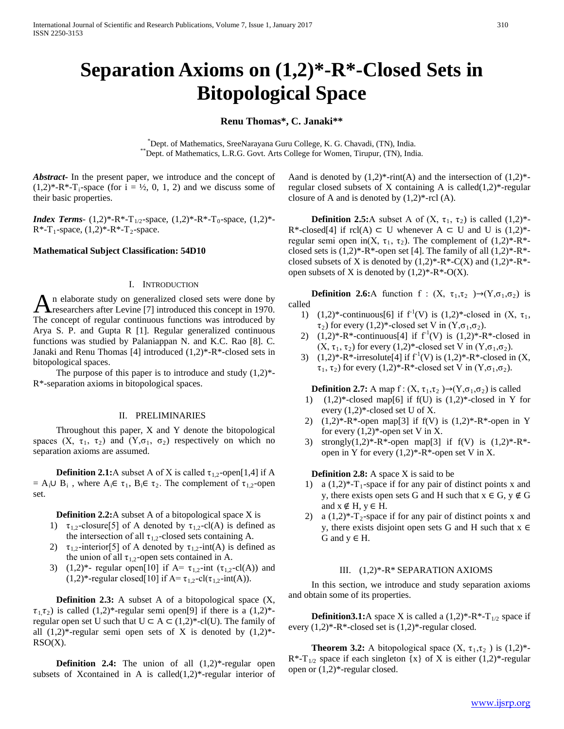# **Separation Axioms on (1,2)\*-R\*-Closed Sets in Bitopological Space**

# **Renu Thomas\*, C. Janaki\*\***

\*Dept. of Mathematics, SreeNaravana Guru College, K. G. Chavadi, (TN), India. \*\*Dept. of Mathematics, L.R.G. Govt. Arts College for Women, Tirupur, (TN), India.

*Abstract***-** In the present paper, we introduce and the concept of  $(1,2)^*$ -R<sup>\*</sup>-T<sub>i</sub>-space (for i = ½, 0, 1, 2) and we discuss some of their basic properties.

*Index Terms*-  $(1,2)^*$ -R<sup>\*</sup>-T<sub>1/2</sub>-space,  $(1,2)^*$ -R<sup>\*</sup>-T<sub>0</sub>-space,  $(1,2)^*$ - $R^*$ -T<sub>1</sub>-space,  $(1,2)^*$ -R<sup>\*</sup>-T<sub>2</sub>-space.

#### **Mathematical Subject Classification: 54D10**

#### I. INTRODUCTION

n elaborate study on generalized closed sets were done by An elaborate study on generalized closed sets were done by researchers after Levine [7] introduced this concept in 1970. The concept of regular continuous functions was introduced by Arya S. P. and Gupta R [1]. Regular generalized continuous functions was studied by Palaniappan N. and K.C. Rao [8]. C. Janaki and Renu Thomas [4] introduced (1,2)\*-R\*-closed sets in bitopological spaces.

The purpose of this paper is to introduce and study  $(1,2)^*$ -R\*-separation axioms in bitopological spaces.

### II. PRELIMINARIES

 Throughout this paper, X and Y denote the bitopological spaces  $(X, \tau_1, \tau_2)$  and  $(Y, \sigma_1, \sigma_2)$  respectively on which no separation axioms are assumed.

**Definition 2.1:**A subset A of X is called  $\tau_{1,2}$ -open[1,4] if A  $= A_i \cup B_i$ , where  $A_i \in \tau_1$ ,  $B_i \in \tau_2$ . The complement of  $\tau_1$ <sub>2</sub>-open set.

**Definition 2.2:**A subset A of a bitopological space X is

- 1)  $\tau_{1,2}$ -closure[5] of A denoted by  $\tau_{1,2}$ -cl(A) is defined as the intersection of all  $\tau_{1,2}$ -closed sets containing A.
- 2)  $\tau_{1,2}$ -interior[5] of A denoted by  $\tau_{1,2}$ -int(A) is defined as the union of all  $\tau_{1,2}$ -open sets contained in A.
- 3) (1,2)\*- regular open[10] if A=  $\tau_{1,2}$ -int ( $\tau_{1,2}$ -cl(A)) and (1,2)\*-regular closed[10] if  $A = \tau_{1,2}$ -cl( $\tau_{1,2}$ -int(A)).

**Definition 2.3:** A subset A of a bitopological space  $(X, \mathcal{L})$  $\tau_{1,1},\tau_{2})$  is called  $(1,2)^{*}$ -regular semi open[9] if there is a  $(1,2)^{*}$ regular open set U such that  $U \subset A \subset (1,2)^*$ -cl(U). The family of all  $(1,2)^*$ -regular semi open sets of X is denoted by  $(1,2)^*$ -RSO(X).

**Definition 2.4:** The union of all  $(1,2)$ \*-regular open subsets of Xcontained in A is called $(1,2)^*$ -regular interior of

Aand is denoted by  $(1,2)^*$ -rint(A) and the intersection of  $(1,2)^*$ regular closed subsets of X containing A is called $(1,2)^*$ -regular closure of A and is denoted by  $(1,2)^*$ -rcl  $(A)$ .

**Definition 2.5:**A subset A of  $(X, \tau_1, \tau_2)$  is called  $(1,2)^*$ -R<sup>\*</sup>-closed[4] if rcl(A) ⊂ U whenever A ⊂ U and U is  $(1,2)$ <sup>\*</sup>regular semi open in(X,  $\tau_1$ ,  $\tau_2$ ). The complement of (1,2)\*-R\*closed sets is  $(1,2)^*$ -R<sup>\*</sup>-open set [4]. The family of all  $(1,2)^*$ -R<sup>\*</sup>closed subsets of X is denoted by  $(1,2)^*$ -R<sup>\*</sup>-C(X) and  $(1,2)^*$ -R<sup>\*</sup>open subsets of X is denoted by  $(1,2)^*$ -R<sup>\*</sup>-O(X).

**Definition 2.6:**A function f :  $(X, \tau_1, \tau_2) \rightarrow (Y, \sigma_1, \sigma_2)$  is called

- 1) (1,2)\*-continuous[6] if  $f'(V)$  is (1,2)\*-closed in  $(X, \tau_1,$  $\tau_2$ ) for every (1,2)\*-closed set V in (Y, $\sigma_1$ , $\sigma_2$ ).
- 2)  $(1,2)^*$ -R<sup>\*</sup>-continuous[4] if  $f^1(V)$  is  $(1,2)^*$ -R<sup>\*</sup>-closed in  $(X, \tau_1, \tau_2)$  for every  $(1,2)^*$ -closed set V in  $(Y, \sigma_1, \sigma_2)$ .
- 3)  $(1,2)^*$ -R<sup>\*</sup>-irresolute[4] if  $f^1(V)$  is  $(1,2)^*$ -R<sup>\*</sup>-closed in  $(X,$  $\tau_1$ ,  $\tau_2$ ) for every (1,2)\*-R\*-closed set V in  $(Y, \sigma_1, \sigma_2)$ .

**Definition 2.7:** A map f :  $(X, \tau_1, \tau_2) \rightarrow (Y, \sigma_1, \sigma_2)$  is called<br>1) (1.2)\*-closed map f6l if f(I) is (1.2)\*-closed in Y f

- $(1,2)^*$ -closed map[6] if f(U) is  $(1,2)^*$ -closed in Y for every (1,2)\*-closed set U of X.
- 2)  $(1,2)^*$ -R<sup>\*</sup>-open map[3] if f(V) is  $(1,2)^*$ -R<sup>\*</sup>-open in Y for every  $(1,2)^*$ -open set V in X.
- 3) strongly $(1,2)^*$ -R<sup>\*</sup>-open map<sup>[3]</sup> if f(V) is  $(1,2)^*$ -R<sup>\*</sup>open in Y for every  $(1,2)^*$ -R<sup>\*</sup>-open set V in X.

**Definition 2.8:** A space X is said to be

- 1) a  $(1,2)^*$ -T<sub>1</sub>-space if for any pair of distinct points x and y, there exists open sets G and H such that  $x \in G$ ,  $y \notin G$ and  $x \notin H$ ,  $y \in H$ .
- 2) a  $(1,2)^*$ -T<sub>2</sub>-space if for any pair of distinct points x and y, there exists disjoint open sets G and H such that  $x \in$ G and  $y \in H$ .

#### III. (1,2)\*-R\* SEPARATION AXIOMS

 In this section, we introduce and study separation axioms and obtain some of its properties.

**Definition3.1:**A space X is called a  $(1,2)^*$ -R<sup>\*</sup>-T<sub>1/2</sub> space if every (1,2)\*-R\*-closed set is (1,2)\*-regular closed.

**Theorem 3.2:** A bitopological space  $(X, \tau_1, \tau_2)$  is  $(1,2)^*$ - $R^*$ -T<sub>1/2</sub> space if each singleton {x} of X is either (1,2)\*-regular open or (1,2)\*-regular closed.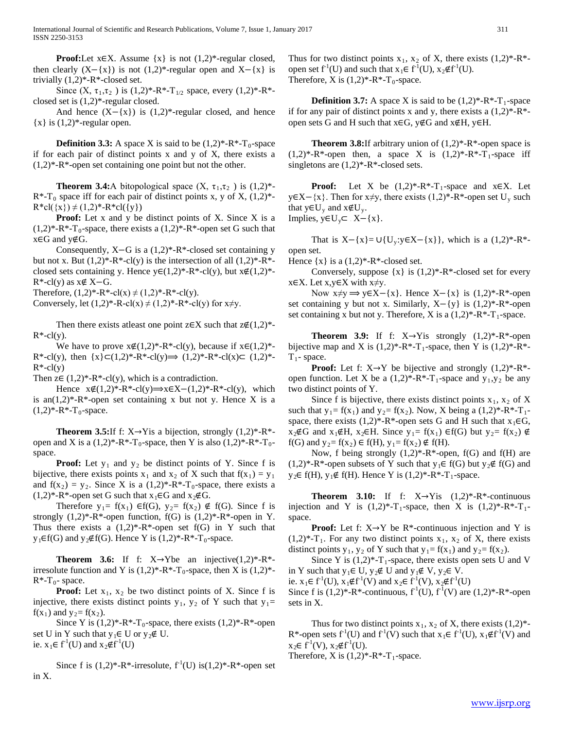**Proof:**Let  $x \in X$ . Assume  $\{x\}$  is not  $(1,2)^*$ -regular closed, then clearly  $(X-\{x\})$  is not  $(1,2)^*$ -regular open and  $X-\{x\}$  is trivially  $(1,2)^*$ -R<sup>\*</sup>-closed set.

Since  $(X, \tau_1, \tau_2)$  is  $(1,2)^*$ -R<sup>\*</sup>-T<sub>1/2</sub> space, every  $(1,2)^*$ -R<sup>\*</sup>closed set is (1,2)\*-regular closed.

And hence  $(X-\{x\})$  is  $(1,2)^*$ -regular closed, and hence  ${x}$  is  $(1,2)$ \*-regular open.

**Definition 3.3:** A space X is said to be  $(1,2)^*$ -R<sup>\*</sup>-T<sub>0</sub>-space if for each pair of distinct points x and y of X, there exists a  $(1,2)^*$ -R<sup>\*</sup>-open set containing one point but not the other.

**Theorem 3.4:**A bitopological space  $(X, \tau_1, \tau_2)$  is  $(1,2)^*$ - $R^*$ -T<sub>0</sub> space iff for each pair of distinct points x, y of X,  $(1,2)^*$ - $R * cl({x}) \neq (1,2)*-R * cl({y})$ 

**Proof:** Let x and y be distinct points of X. Since X is a  $(1,2)^*$ -R<sup>\*</sup>-T<sub>0</sub>-space, there exists a  $(1,2)^*$ -R<sup>\*</sup>-open set G such that x∈G and y∉G.

 Consequently, X−G is a (1,2)\*-R\*-closed set containing y but not x. But  $(1,2)^*$ -R<sup>\*</sup>-cl(y) is the intersection of all  $(1,2)^*$ -R<sup>\*</sup>closed sets containing y. Hence  $y \in (1,2)^*$ -R\*-cl(y), but  $x \notin (1,2)^*$ - $R^*$ -cl(y) as  $x \notin X - G$ .

Therefore,  $(1,2)^*$ -R<sup>\*</sup>-cl(x)  $\neq$   $(1,2)^*$ -R<sup>\*</sup>-cl(y).

Conversely, let  $(1,2)^*$ -R-cl $(x) \neq (1,2)^*$ -R\*-cl $(y)$  for  $x \neq y$ .

Then there exists at least one point z∈X such that  $z \notin (1,2)^*$ - $R^*$ -cl(y).

We have to prove  $x \notin (1,2)^*$ -R<sup>\*</sup>-cl(y), because if  $x \in (1,2)^*$ - $R^*$ -cl(y), then  $\{x\} \subset (1,2)^*$ - $R^*$ -cl(y) $\implies (1,2)^*$ - $R^*$ -cl(x) $\subset (1,2)^*$ - $R^*$ -cl(y)

Then  $z \in (1,2)^*$ -R<sup>\*</sup>-cl(y), which is a contradiction.

Hence  $x \notin (1,2)^*$ -R<sup>\*</sup>-cl(y) $\implies$  $x \in X-(1,2)^*$ -R<sup>\*</sup>-cl(y), which is an $(1,2)^*$ -R<sup>\*</sup>-open set containing x but not y. Hence X is a  $(1,2)*-R*-T_0$ -space.

**Theorem 3.5:**If f:  $X \rightarrow Y$  is a bijection, strongly  $(1,2)^*$ -R<sup>\*</sup>open and X is a  $(1,2)^*$ -R<sup>\*</sup>-T<sub>0</sub>-space, then Y is also  $(1,2)^*$ -R<sup>\*</sup>-T<sub>0</sub>space.

**Proof:** Let  $y_1$  and  $y_2$  be distinct points of Y. Since f is bijective, there exists points  $x_1$  and  $x_2$  of X such that  $f(x_1) = y_1$ and  $f(x_2) = y_2$ . Since X is a  $(1,2)^*$ -R<sup>\*</sup>-T<sub>0</sub>-space, there exists a  $(1,2)^*$ -R<sup>\*</sup>-open set G such that  $x_1 \in G$  and  $x_2 \notin G$ .

Therefore  $y_1 = f(x_1) \in f(G)$ ,  $y_2 = f(x_2) \notin f(G)$ . Since f is strongly  $(1,2)^*$ -R<sup>\*</sup>-open function, f(G) is  $(1,2)^*$ -R<sup>\*</sup>-open in Y. Thus there exists a  $(1,2)^*$ -R<sup>\*</sup>-open set f(G) in Y such that  $y_1 \in f(G)$  and  $y_2 \notin f(G)$ . Hence Y is  $(1,2)^*$ -R<sup>\*</sup>-T<sub>0</sub>-space.

**Theorem 3.6:** If f:  $X \rightarrow Y$ be an injective $(1,2)^*$ -R<sup>\*</sup>irresolute function and Y is  $(1,2)^*$ -R<sup>\*</sup>-T<sub>0</sub>-space, then X is  $(1,2)^*$ - $R^*$ -T<sub>0</sub>- space.

**Proof:** Let  $x_1$ ,  $x_2$  be two distinct points of X. Since f is injective, there exists distinct points  $y_1$ ,  $y_2$  of Y such that  $y_1$ =  $f(x_1)$  and  $y_2 = f(x_2)$ .

Since Y is  $(1,2)^*$ -R<sup>\*</sup>-T<sub>0</sub>-space, there exists  $(1,2)^*$ -R<sup>\*</sup>-open set U in Y such that  $y_1 \in U$  or  $y_2 \notin U$ . ie.  $x_1 \in f^1(U)$  and  $x_2 \notin f^1(U)$ 

Since f is  $(1,2)^*$ -R<sup>\*</sup>-irresolute,  $f^1(U)$  is $(1,2)^*$ -R<sup>\*</sup>-open set in X.

Thus for two distinct points  $x_1$ ,  $x_2$  of X, there exists  $(1,2)^*$ -R<sup>\*</sup>open set  $f^1(U)$  and such that  $x_1 \in f^1(U)$ ,  $x_2 \notin f^1(U)$ . Therefore, X is  $(1,2)*-R*-T_0$ -space.

**Definition 3.7:** A space X is said to be  $(1,2)^*$ -R<sup>\*</sup>-T<sub>1</sub>-space if for any pair of distinct points x and y, there exists a  $(1,2)^*$ -R<sup>\*</sup>open sets G and H such that  $x \in G$ ,  $y \notin G$  and  $x \notin H$ ,  $y \in H$ .

**Theorem 3.8:**If arbitrary union of  $(1,2)$ \*-R\*-open space is  $(1,2)^*$ -R<sup>\*</sup>-open then, a space X is  $(1,2)^*$ -R<sup>\*</sup>-T<sub>1</sub>-space iff singletons are  $(1,2)*-R*-closed$  sets.

**Proof:** Let X be  $(1,2)^*$ -R<sup>\*</sup>-T<sub>1</sub>-space and x∈X. Let y∈X−{x}. Then for x≠y, there exists  $(1,2)$ \*-R\*-open set U<sub>y</sub> such that  $y \in U_y$  and  $x \notin U_y$ .

Implies,  $y \in U_y \subset X - \{x\}.$ 

That is  $X-\{x\} = \bigcup \{U_y : y \in X-\{x\}\}\$ , which is a  $(1,2)^*$ -R<sup>\*</sup>open set.

Hence  $\{x\}$  is a  $(1,2)^*$ -R<sup>\*</sup>-closed set.

Conversely, suppose  $\{x\}$  is  $(1,2)^*$ -R<sup>\*</sup>-closed set for every  $x \in X$ . Let  $x, y \in X$  with  $x \neq y$ .

Now  $x \neq y \Longrightarrow y \in X - \{x\}$ . Hence  $X - \{x\}$  is  $(1,2)^*$ -R<sup>\*</sup>-open set containing y but not x. Similarly,  $X-\{y\}$  is  $(1,2)^*$ -R<sup>\*</sup>-open set containing x but not y. Therefore, X is a  $(1,2)^*$ -R<sup>\*</sup>-T<sub>1</sub>-space.

**Theorem 3.9:** If f:  $X \rightarrow Y$  is strongly  $(1,2)^*$ -R<sup>\*</sup>-open bijective map and X is  $(1,2)^*$ -R<sup>\*</sup>-T<sub>1</sub>-space, then Y is  $(1,2)^*$ -R<sup>\*</sup>- $T_1$ - space.

**Proof:** Let f:  $X \rightarrow Y$  be bijective and strongly  $(1,2)^*$ -R<sup>\*</sup>open function. Let X be a  $(1,2)^*$ -R<sup>\*</sup>-T<sub>1</sub>-space and y<sub>1</sub>,y<sub>2</sub> be any two distinct points of Y.

Since f is bijective, there exists distinct points  $x_1$ ,  $x_2$  of X such that  $y_1 = f(x_1)$  and  $y_2 = f(x_2)$ . Now, X being a  $(1,2)^*$ -R<sup>\*</sup>-T<sub>1</sub>space, there exists  $(1,2)^*$ -R<sup>\*</sup>-open sets G and H such that  $x_1 \in G$ ,  $x_2 \notin G$  and  $x_1 \notin H$ ,  $x_2 \in H$ . Since  $y_1 = f(x_1)$  ∈f(G) but  $y_2 = f(x_2) \notin G$ f(G) and  $y_2 = f(x_2) \in f(H)$ ,  $y_1 = f(x_2) \notin f(H)$ .

Now, f being strongly  $(1,2)^*$ -R<sup>\*</sup>-open, f(G) and f(H) are  $(1,2)^*$ -R<sup>\*</sup>-open subsets of Y such that  $y_1 \in f(G)$  but  $y_2 \notin f(G)$  and y<sub>2</sub>∈ f(H), y<sub>1</sub>∉ f(H). Hence Y is  $(1,2)$ <sup>\*</sup>-R<sup>\*</sup>-T<sub>1</sub>-space.

**Theorem 3.10:** If f:  $X \rightarrow Y$  is  $(1,2)^*$ -R<sup>\*</sup>-continuous injection and Y is  $(1,2)^*$ -T<sub>1</sub>-space, then X is  $(1,2)^*$ -R<sup>\*</sup>-T<sub>1</sub>space.

 **Proof:** Let f: X→Y be R\*-continuous injection and Y is  $(1,2)^*$ -T<sub>1</sub>. For any two distinct points  $x_1, x_2$  of X, there exists distinct points  $y_1$ ,  $y_2$  of Y such that  $y_1 = f(x_1)$  and  $y_2 = f(x_2)$ .

Since Y is  $(1,2)^*$ -T<sub>1</sub>-space, there exists open sets U and V in Y such that  $y_1 \in U$ ,  $y_2 \notin U$  and  $y_1 \notin V$ ,  $y_2 \in V$ .

ie.  $x_1 \in f^1(U)$ ,  $x_1 \notin f^1(V)$  and  $x_2 \in f^1(V)$ ,  $x_2 \notin f^1(U)$ 

Since f is  $(1,2)^*$ -R<sup>\*</sup>-continuous,  $f^1(U)$ ,  $f^1(V)$  are  $(1,2)^*$ -R<sup>\*</sup>-open sets in X.

Thus for two distinct points  $x_1$ ,  $x_2$  of X, there exists  $(1,2)^*$ -R<sup>\*</sup>-open sets  $f^1(U)$  and  $f^1(V)$  such that  $x_1 \in f^1(U)$ ,  $x_1 \notin f^1(V)$  and  $x_2 \in f^{-1}(V)$ ,  $x_2 \notin f^{-1}(U)$ .

Therefore, X is  $(1,2)*-R*-T_1$ -space.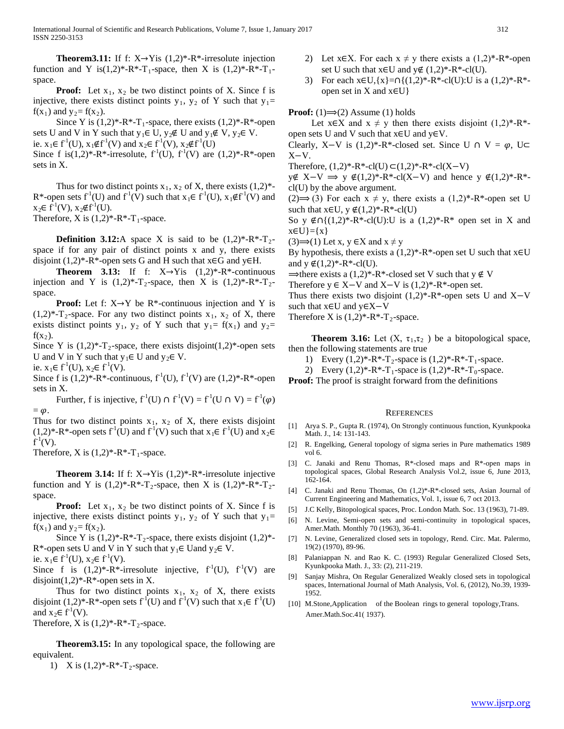**Theorem3.11:** If f:  $X \rightarrow Y$  is  $(1,2)^*$ -R<sup>\*</sup>-irresolute injection function and Y is(1,2)\*-R\*-T<sub>1</sub>-space, then X is (1,2)\*-R\*-T<sub>1</sub>space.

**Proof:** Let  $x_1$ ,  $x_2$  be two distinct points of X. Since f is injective, there exists distinct points  $y_1$ ,  $y_2$  of Y such that  $y_1$ =  $f(x_1)$  and  $y_2 = f(x_2)$ .

Since Y is  $(1,2)^*$ -R<sup>\*</sup>-T<sub>1</sub>-space, there exists  $(1,2)^*$ -R<sup>\*</sup>-open sets U and V in Y such that  $y_1 \in U$ ,  $y_2 \notin U$  and  $y_1 \notin V$ ,  $y_2 \in V$ . ie.  $x_1 \in f^1(U)$ ,  $x_1 \notin f^1(V)$  and  $x_2 \in f^1(V)$ ,  $x_2 \notin f^1(U)$ 

Since f is(1,2)\*-R\*-irresolute,  $f^1(U)$ ,  $f^1(V)$  are (1,2)\*-R\*-open sets in X.

Thus for two distinct points  $x_1$ ,  $x_2$  of X, there exists  $(1,2)^*$ -R<sup>\*</sup>-open sets  $f^1(U)$  and  $f^1(V)$  such that  $x_1 \in f^1(U)$ ,  $x_1 \notin f^1(V)$  and  $x_2 \in f^{-1}(V)$ ,  $x_2 \notin f^{-1}(U)$ .

Therefore, X is  $(1,2)*-R*-T_1$ -space.

**Definition 3.12:**A space X is said to be  $(1,2)^*$ -R<sup>\*</sup>-T<sub>2</sub>space if for any pair of distinct points x and y, there exists disjoint  $(1,2)^*$ -R<sup>\*</sup>-open sets G and H such that  $x \in G$  and  $y \in H$ .

**Theorem 3.13:** If f:  $X \rightarrow Y$  is  $(1,2)*-R*$ -continuous injection and Y is  $(1,2)^*$ -T<sub>2</sub>-space, then X is  $(1,2)^*$ -R<sup>\*</sup>-T<sub>2</sub>space.

**Proof:** Let f:  $X \rightarrow Y$  be  $R^*$ -continuous injection and Y is  $(1,2)^*$ -T<sub>2</sub>-space. For any two distinct points  $x_1$ ,  $x_2$  of X, there exists distinct points  $y_1$ ,  $y_2$  of Y such that  $y_1 = f(x_1)$  and  $y_2 =$  $f(x_2)$ .

Since Y is  $(1,2)^*$ -T<sub>2</sub>-space, there exists disjoint $(1,2)^*$ -open sets U and V in Y such that  $y_1 \in U$  and  $y_2 \in V$ .

ie.  $x_1 \in f^1(U)$ ,  $x_2 \in f^1(V)$ .

Since f is  $(1,2)^*$ -R<sup>\*</sup>-continuous,  $f^1(U)$ ,  $f^1(V)$  are  $(1,2)^*$ -R<sup>\*</sup>-open sets in X.

Further, f is injective,  $f^1(U) \cap f^1(V) = f^1(U \cap V) = f^1(\varphi)$  $= \varphi$ .

Thus for two distinct points  $x_1$ ,  $x_2$  of X, there exists disjoint  $(1,2)^*$ -R<sup>\*</sup>-open sets  $f^1(U)$  and  $f^1(V)$  such that  $x_1 \in f^1(U)$  and  $x_2 \in$  $f^1(V)$ .

Therefore, X is  $(1,2)*-R*-T_1$ -space.

**Theorem 3.14:** If f:  $X \rightarrow Y$  is  $(1,2)^*$ -R<sup>\*</sup>-irresolute injective function and Y is  $(1,2)^*$ -R<sup>\*</sup>-T<sub>2</sub>-space, then X is  $(1,2)^*$ -R<sup>\*</sup>-T<sub>2</sub>space.

**Proof:** Let  $x_1$ ,  $x_2$  be two distinct points of X. Since f is injective, there exists distinct points  $y_1$ ,  $y_2$  of Y such that  $y_1$ =  $f(x_1)$  and  $y_2 = f(x_2)$ .

Since Y is  $(1,2)^*$ -R<sup>\*</sup>-T<sub>2</sub>-space, there exists disjoint  $(1,2)^*$ -R<sup>\*</sup>-open sets U and V in Y such that  $y_1 \in$  Uand  $y_2 \in V$ .

ie.  $x_1 \in f^1(U)$ ,  $x_2 \in f^1(V)$ .

Since f is  $(1,2)^*$ -R<sup>\*</sup>-irresolute injective,  $f^1(U)$ ,  $f^1(V)$  are disjoint $(1,2)^*$ -R<sup>\*</sup>-open sets in X.

Thus for two distinct points  $x_1$ ,  $x_2$  of X, there exists disjoint  $(1,2)^*$ -R<sup>\*</sup>-open sets  $f^{-1}(U)$  and  $f^{-1}(V)$  such that  $x_1 \in f^{-1}(U)$ and  $x_2 \in f^1(V)$ .

Therefore, X is  $(1,2)^*$ -R<sup>\*</sup>-T<sub>2</sub>-space.

 **Theorem3.15:** In any topological space, the following are equivalent.

1) X is  $(1,2)^*$ -R<sup>\*</sup>-T<sub>2</sub>-space.

- 2) Let x∈X. For each  $x \neq y$  there exists a  $(1,2)^*$ -R<sup>\*</sup>-open set U such that  $x \in U$  and  $y \notin (1,2)^*$ -R<sup>\*</sup>-cl(U).
- 3) For each  $x \in U$ ,  $\{x\} = \cap \{(1,2)^* R^* cl(U): U \text{ is a } (1,2)^* R^* cl(U) \}$ open set in X and  $x \in U$ }

**Proof:** (1) $\Rightarrow$ (2) Assume (1) holds

Let  $x \in X$  and  $x \neq y$  then there exists disjoint  $(1,2)^*$ -R<sup>\*</sup>open sets U and V such that x∈U and y∈V.

Clearly, X–V is  $(1,2)^*$ -R<sup>\*</sup>-closed set. Since U ∩ V =  $\varphi$ , U⊂  $X-V.$ 

Therefore,  $(1,2)*-R*-cl(U) \subset (1,2)*-R*-cl(X-V)$ 

y∉ X–V  $\Rightarrow$  y ∉(1,2)\*-R\*-cl(X–V) and hence y ∉(1,2)\*-R\*cl(U) by the above argument.

(2)  $\Rightarrow$  (3) For each  $x \neq y$ , there exists a (1,2)\*-R\*-open set U such that  $x \in U$ ,  $y \notin (1,2)^*$ -R<sup>\*</sup>-cl(U)

So y ∉∩{ $(1,2)$ <sup>\*</sup>-R<sup>\*</sup>-cl(U):U is a  $(1,2)$ <sup>\*</sup>-R<sup>\*</sup> open set in X and  $x \in U$ }={ $x$ }

(3)  $\Rightarrow$  (1) Let x, y ∈X and x ≠ y

By hypothesis, there exists a  $(1,2)^*$ -R\*-open set U such that x∈U and  $y \notin (1,2)*-R*-cl(U)$ .

 $\Rightarrow$  there exists a (1,2)\*-R\*-closed set V such that y  $\notin$  V

Therefore  $y \in X-V$  and  $X-V$  is  $(1,2)^*$ -R<sup>\*</sup>-open set.

Thus there exists two disjoint  $(1,2)^*$ -R<sup>\*</sup>-open sets U and X–V such that x∈U and y∈X−V

Therefore X is  $(1,2)*-R*-T_2$ -space.

**Theorem 3.16:** Let  $(X, \tau_1, \tau_2)$  be a bitopological space, then the following statements are true

1) Every  $(1,2)^*$ -R<sup>\*</sup>-T<sub>2</sub>-space is  $(1,2)^*$ -R<sup>\*</sup>-T<sub>1</sub>-space.

2) Every  $(1,2)^*$ -R<sup>\*</sup>-T<sub>1</sub>-space is  $(1,2)^*$ -R<sup>\*</sup>-T<sub>0</sub>-space.

**Proof:** The proof is straight forward from the definitions

# **REFERENCES**

- [1] Arya S. P., Gupta R. (1974), On Strongly continuous function, Kyunkpooka Math. J., 14: 131-143.
- [2] R. Engelking, General topology of sigma series in Pure mathematics 1989 vol 6.
- [3] C. Janaki and Renu Thomas, R\*-closed maps and R\*-open maps in topological spaces, Global Research Analysis Vol.2, issue 6, June 2013, 162-164.
- [4] C. Janaki and Renu Thomas, On (1,2)\*-R\*-closed sets, Asian Journal of Current Engineering and Mathematics, Vol. 1, issue 6, 7 oct 2013.
- [5] J.C Kelly, Bitopological spaces, Proc. London Math. Soc. 13 (1963), 71-89.
- [6] N. Levine, Semi-open sets and semi-continuity in topological spaces, Amer.Math. Monthly 70 (1963), 36-41.
- [7] N. Levine, Generalized closed sets in topology, Rend. Circ. Mat. Palermo, 19(2) (1970), 89-96.
- [8] Palaniappan N. and Rao K. C. (1993) Regular Generalized Closed Sets, Kyunkpooka Math. J., 33: (2), 211-219.
- [9] Sanjay Mishra, On Regular Generalized Weakly closed sets in topological spaces, International Journal of Math Analysis, Vol. 6, (2012), No.39, 1939- 1952.
- [10] M.Stone,Application of the Boolean rings to general topology,Trans. Amer.Math.Soc.41( 1937).